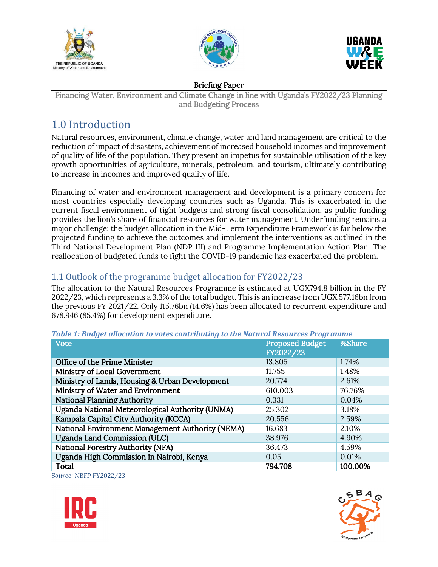





#### Briefing Paper

Financing Water, Environment and Climate Change in line with Uganda's FY2022/23 Planning and Budgeting Process

# 1.0 Introduction

Natural resources, environment, climate change, water and land management are critical to the reduction of impact of disasters, achievement of increased household incomes and improvement of quality of life of the population. They present an impetus for sustainable utilisation of the key growth opportunities of agriculture, minerals, petroleum, and tourism, ultimately contributing to increase in incomes and improved quality of life.

Financing of water and environment management and development is a primary concern for most countries especially developing countries such as Uganda. This is exacerbated in the current fiscal environment of tight budgets and strong fiscal consolidation, as public funding provides the lion's share of financial resources for water management. Underfunding remains a major challenge; the budget allocation in the Mid-Term Expenditure Framework is far below the projected funding to achieve the outcomes and implement the interventions as outlined in the Third National Development Plan (NDP III) and Programme Implementation Action Plan. The reallocation of budgeted funds to fight the COVID-19 pandemic has exacerbated the problem.

# 1.1 Outlook of the programme budget allocation for FY2022/23

The allocation to the Natural Resources Programme is estimated at UGX794.8 billion in the FY 2022/23, which represents a 3.3% of the total budget. This is an increase from UGX 577.16bn from the previous FY 2021/22. Only 115.76bn (14.6%) has been allocated to recurrent expenditure and 678.946 (85.4%) for development expenditure.

| <b>Vote</b>                                      | <b>Proposed Budget</b><br>FY2022/23 | %Share  |
|--------------------------------------------------|-------------------------------------|---------|
|                                                  |                                     |         |
| Office of the Prime Minister                     | 13.805                              | 1.74%   |
| Ministry of Local Government                     | 11.755                              | 1.48%   |
| Ministry of Lands, Housing & Urban Development   | 20.774                              | 2.61%   |
| Ministry of Water and Environment                | 610.003                             | 76.76%  |
| <b>National Planning Authority</b>               | 0.331                               | 0.04%   |
| Uganda National Meteorological Authority (UNMA)  | 25.302                              | 3.18%   |
| Kampala Capital City Authority (KCCA)            | 20.556                              | 2.59%   |
| National Environment Management Authority (NEMA) | 16.683                              | 2.10%   |
| <b>Uganda Land Commission (ULC)</b>              | 38.976                              | 4.90%   |
| <b>National Forestry Authority (NFA)</b>         | 36.473                              | 4.59%   |
| Uganda High Commission in Nairobi, Kenya         | 0.05                                | 0.01%   |
| Total                                            | 794.708                             | 100.00% |

*Table 1: Budget allocation to votes contributing to the Natural Resources Programme*

*Source: NBFP FY2022/23*



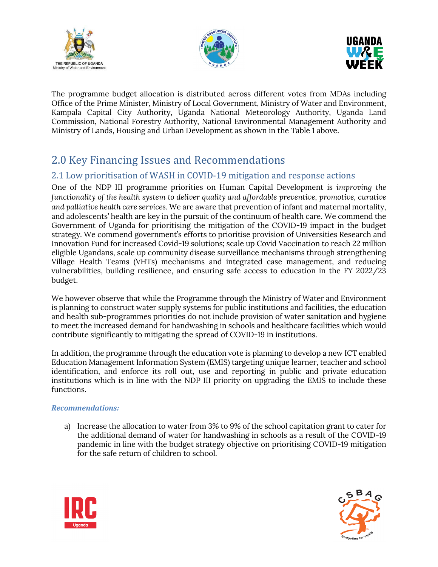





The programme budget allocation is distributed across different votes from MDAs including Office of the Prime Minister, Ministry of Local Government, Ministry of Water and Environment, Kampala Capital City Authority, Uganda National Meteorology Authority, Uganda Land Commission, National Forestry Authority, National Environmental Management Authority and Ministry of Lands, Housing and Urban Development as shown in the Table 1 above.

# 2.0 Key Financing Issues and Recommendations

# 2.1 Low prioritisation of WASH in COVID-19 mitigation and response actions

One of the NDP III programme priorities on Human Capital Development is *improving the functionality of the health system to deliver quality and affordable preventive, promotive, curative and palliative health care services*. We are aware that prevention of infant and maternal mortality, and adolescents' health are key in the pursuit of the continuum of health care. We commend the Government of Uganda for prioritising the mitigation of the COVID-19 impact in the budget strategy. We commend government's efforts to prioritise provision of Universities Research and Innovation Fund for increased Covid-19 solutions; scale up Covid Vaccination to reach 22 million eligible Ugandans, scale up community disease surveillance mechanisms through strengthening Village Health Teams (VHTs) mechanisms and integrated case management, and reducing vulnerabilities, building resilience, and ensuring safe access to education in the FY 2022/23 budget.

We however observe that while the Programme through the Ministry of Water and Environment is planning to construct water supply systems for public institutions and facilities, the education and health sub-programmes priorities do not include provision of water sanitation and hygiene to meet the increased demand for handwashing in schools and healthcare facilities which would contribute significantly to mitigating the spread of COVID-19 in institutions.

In addition, the programme through the education vote is planning to develop a new ICT enabled Education Management Information System (EMIS) targeting unique learner, teacher and school identification, and enforce its roll out, use and reporting in public and private education institutions which is in line with the NDP III priority on upgrading the EMIS to include these functions.

#### *Recommendations:*

a) Increase the allocation to water from 3% to 9% of the school capitation grant to cater for the additional demand of water for handwashing in schools as a result of the COVID-19 pandemic in line with the budget strategy objective on prioritising COVID-19 mitigation for the safe return of children to school.



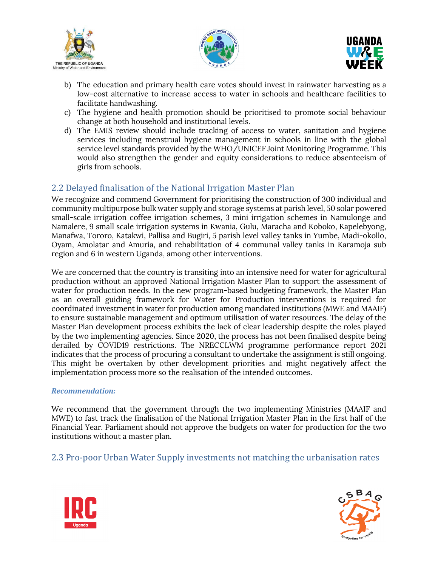





- b) The education and primary health care votes should invest in rainwater harvesting as a low-cost alternative to increase access to water in schools and healthcare facilities to facilitate handwashing.
- c) The hygiene and health promotion should be prioritised to promote social behaviour change at both household and institutional levels.
- d) The EMIS review should include tracking of access to water, sanitation and hygiene services including menstrual hygiene management in schools in line with the global service level standards provided by the WHO/UNICEF Joint Monitoring Programme. This would also strengthen the gender and equity considerations to reduce absenteeism of girls from schools.

## 2.2 Delayed finalisation of the National Irrigation Master Plan

We recognize and commend Government for prioritising the construction of 300 individual and community multipurpose bulk water supply and storage systems at parish level, 50 solar powered small-scale irrigation coffee irrigation schemes, 3 mini irrigation schemes in Namulonge and Namalere, 9 small scale irrigation systems in Kwania, Gulu, Maracha and Koboko, Kapelebyong, Manafwa, Tororo, Katakwi, Pallisa and Bugiri, 5 parish level valley tanks in Yumbe, Madi-okollo, Oyam, Amolatar and Amuria, and rehabilitation of 4 communal valley tanks in Karamoja sub region and 6 in western Uganda, among other interventions.

We are concerned that the country is transiting into an intensive need for water for agricultural production without an approved National Irrigation Master Plan to support the assessment of water for production needs. In the new program-based budgeting framework, the Master Plan as an overall guiding framework for Water for Production interventions is required for coordinated investment in water for production among mandated institutions (MWE and MAAIF) to ensure sustainable management and optimum utilisation of water resources. The delay of the Master Plan development process exhibits the lack of clear leadership despite the roles played by the two implementing agencies. Since 2020, the process has not been finalised despite being derailed by COVID19 restrictions. The NRECCLWM programme performance report 2021 indicates that the process of procuring a consultant to undertake the assignment is still ongoing. This might be overtaken by other development priorities and might negatively affect the implementation process more so the realisation of the intended outcomes.

#### *Recommendation:*

We recommend that the government through the two implementing Ministries (MAAIF and MWE) to fast track the finalisation of the National Irrigation Master Plan in the first half of the Financial Year. Parliament should not approve the budgets on water for production for the two institutions without a master plan.

## 2.3 Pro-poor Urban Water Supply investments not matching the urbanisation rates



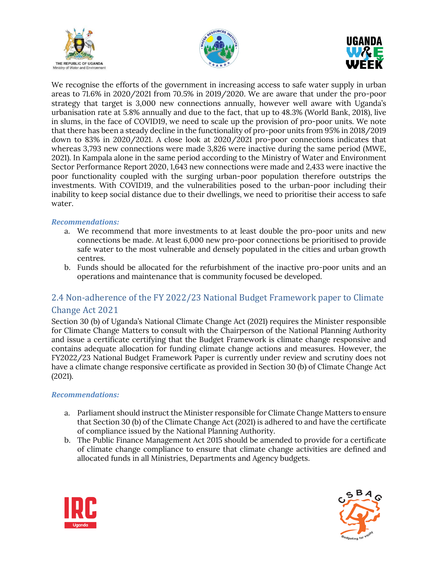





We recognise the efforts of the government in increasing access to safe water supply in urban areas to 71.6% in 2020/2021 from 70.5% in 2019/2020. We are aware that under the pro-poor strategy that target is 3,000 new connections annually, however well aware with Uganda's urbanisation rate at 5.8% annually and due to the fact, that up to 48.3% (World Bank, 2018), live in slums, in the face of COVID19, we need to scale up the provision of pro-poor units. We note that there has been a steady decline in the functionality of pro-poor units from 95% in 2018/2019 down to 83% in 2020/2021. A close look at 2020/2021 pro-poor connections indicates that whereas 3,793 new connections were made 3,826 were inactive during the same period (MWE, 2021). In Kampala alone in the same period according to the Ministry of Water and Environment Sector Performance Report 2020, 1,643 new connections were made and 2,433 were inactive the poor functionality coupled with the surging urban-poor population therefore outstrips the investments. With COVID19, and the vulnerabilities posed to the urban-poor including their inability to keep social distance due to their dwellings, we need to prioritise their access to safe water.

#### *Recommendations:*

- a. We recommend that more investments to at least double the pro-poor units and new connections be made. At least 6,000 new pro-poor connections be prioritised to provide safe water to the most vulnerable and densely populated in the cities and urban growth centres.
- b. Funds should be allocated for the refurbishment of the inactive pro-poor units and an operations and maintenance that is community focused be developed.

# 2.4 Non-adherence of the FY 2022/23 National Budget Framework paper to Climate Change Act 2021

Section 30 (b) of Uganda's National Climate Change Act (2021) requires the Minister responsible for Climate Change Matters to consult with the Chairperson of the National Planning Authority and issue a certificate certifying that the Budget Framework is climate change responsive and contains adequate allocation for funding climate change actions and measures. However, the FY2022/23 National Budget Framework Paper is currently under review and scrutiny does not have a climate change responsive certificate as provided in Section 30 (b) of Climate Change Act (2021).

#### *Recommendations:*

- a. Parliament should instruct the Minister responsible for Climate Change Matters to ensure that Section 30 (b) of the Climate Change Act (2021) is adhered to and have the certificate of compliance issued by the National Planning Authority.
- b. The Public Finance Management Act 2015 should be amended to provide for a certificate of climate change compliance to ensure that climate change activities are defined and allocated funds in all Ministries, Departments and Agency budgets.



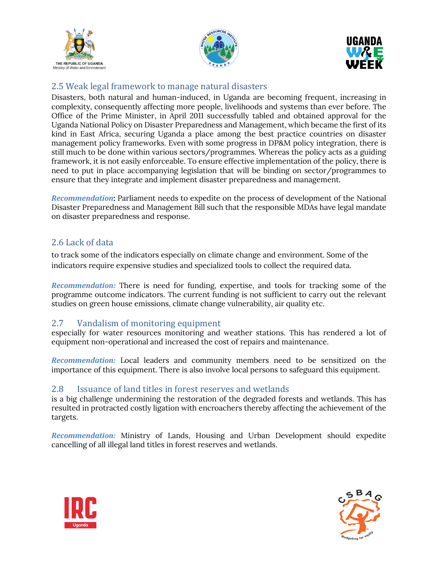





## 2.5 Weak legal framework to manage natural disasters

Disasters, both natural and human-induced, in Uganda are becoming frequent, increasing in complexity, consequently affecting more people, livelihoods and systems than ever before. The Office of the Prime Minister, in April 2011 successfully tabled and obtained approval for the Uganda National Policy on Disaster Preparedness and Management, which became the first of its kind in East Africa, securing Uganda a place among the best practice countries on disaster management policy frameworks. Even with some progress in DP&M policy integration, there is still much to be done within various sectors/programmes. Whereas the policy acts as a guiding framework, it is not easily enforceable. To ensure effective implementation of the policy, there is need to put in place accompanying legislation that will be binding on sector/programmes to ensure that they integrate and implement disaster preparedness and management.

*Recommendation*: Parliament needs to expedite on the process of development of the National Disaster Preparedness and Management Bill such that the responsible MDAs have legal mandate on disaster preparedness and response.

## 2.6 Lack of data

to track some of the indicators especially on climate change and environment. Some of the indicators require expensive studies and specialized tools to collect the required data.

*Recommendation:* There is need for funding, expertise, and tools for tracking some of the programme outcome indicators. The current funding is not sufficient to carry out the relevant studies on green house emissions, climate change vulnerability, air quality etc.

## 2.7 Vandalism of monitoring equipment

especially for water resources monitoring and weather stations. This has rendered a lot of equipment non-operational and increased the cost of repairs and maintenance.

*Recommendation:* Local leaders and community members need to be sensitized on the importance of this equipment. There is also involve local persons to safeguard this equipment.

## 2.8 Issuance of land titles in forest reserves and wetlands

is a big challenge undermining the restoration of the degraded forests and wetlands. This has resulted in protracted costly ligation with encroachers thereby affecting the achievement of the targets.

*Recommendation:* Ministry of Lands, Housing and Urban Development should expedite cancelling of all illegal land titles in forest reserves and wetlands.